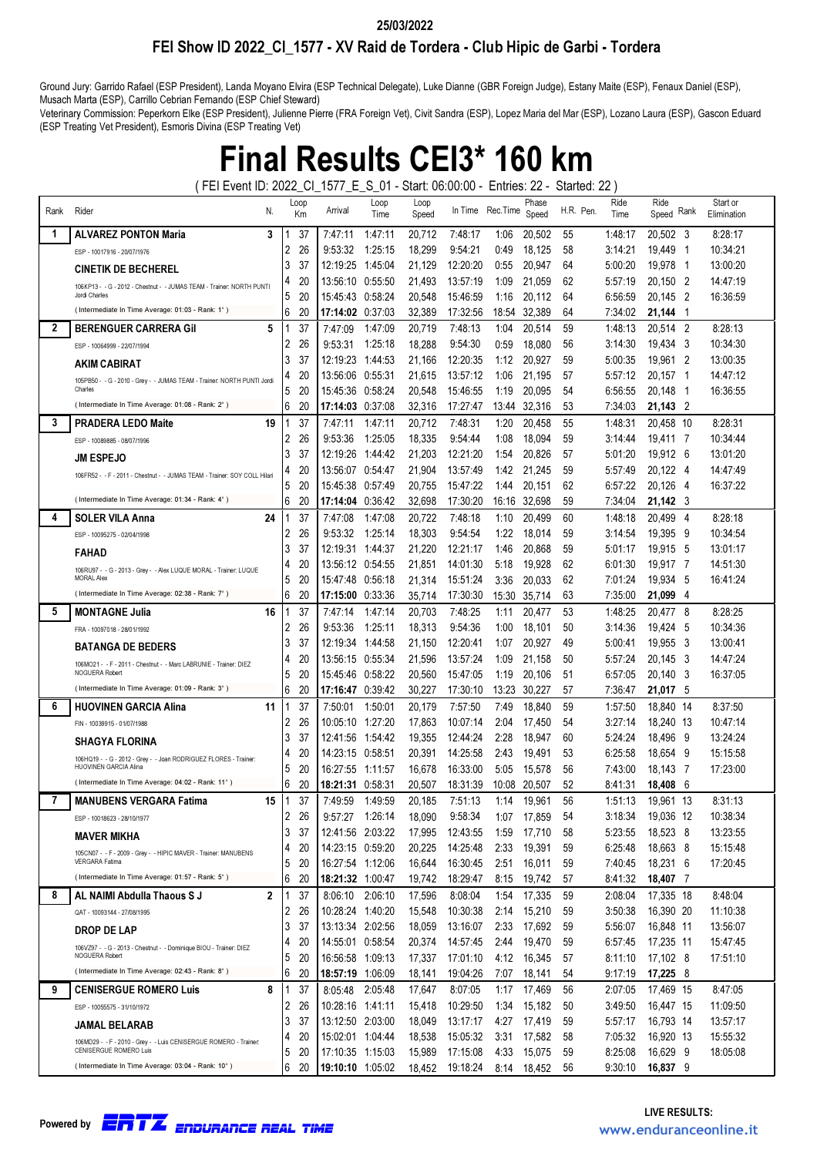### FEI Show ID 2022\_CI\_1577 - XV Raid de Tordera - Club Hipic de Garbi - Tordera 25/03/2022

Ground Jury: Garrido Rafael (ESP President), Landa Moyano Elvira (ESP Technical Delegate), Luke Dianne (GBR Foreign Judge), Estany Maite (ESP), Fenaux Daniel (ESP), Musach Marta (ESP), Carrillo Cebrian Fernando (ESP Chief Steward)

Veterinary Commission: Peperkorn Elke (ESP President), Julienne Pierre (FRA Foreign Vet), Civit Sandra (ESP), Lopez Maria del Mar (ESP), Lozano Laura (ESP), Gascon Eduard (ESP Treating Vet President), Esmoris Divina (ESP Treating Vet)

# Final Results CEI3\* 160 km

( FEI Event ID: 2022\_CI\_1577\_E\_S\_01 - Start: 06:00:00 - Entries: 22 - Started: 22 )

| Rank | Rider<br>N.                                                                                 | Loop<br>Km |          | Arrival                              | Loop<br>Time | Loop<br>Speed    |                      | In Time Rec. Time | Phase<br>Speed   | H.R. Pen. | Ride<br>Time       | Ride<br>Speed Rank     | Start or<br>Elimination |
|------|---------------------------------------------------------------------------------------------|------------|----------|--------------------------------------|--------------|------------------|----------------------|-------------------|------------------|-----------|--------------------|------------------------|-------------------------|
| 1    | <b>ALVAREZ PONTON Maria</b><br>3                                                            |            | 37       | 7:47:11                              | 1:47:11      | 20,712           | 7:48:17              | 1:06              | 20.502           | 55        | 1:48:17            | 20.502 3               | 8:28:17                 |
|      | ESP - 10017916 - 20/07/1976                                                                 | 2          | 26       | 9:53:32                              | 1:25:15      | 18,299           | 9:54:21              | 0:49              | 18,125           | 58        | 3:14:21            | 19,449 1               | 10:34:21                |
|      | <b>CINETIK DE BECHEREL</b>                                                                  | 3          | 37       | 12:19:25                             | 1:45:04      | 21,129           | 12:20:20             | 0:55              | 20,947           | 64        | 5:00:20            | 19,978 1               | 13:00:20                |
|      |                                                                                             | 4          | 20       | 13:56:10 0.55:50                     |              | 21,493           | 13:57:19             | 1:09              | 21,059           | 62        | 5:57:19            | 20,150 2               | 14:47:19                |
|      | 106KP13 - - G - 2012 - Chestnut - - JUMAS TEAM - Trainer: NORTH PUNTI<br>Jordi Charles      | 5          | 20       | 15:45:43 0:58:24                     |              | 20,548           | 15:46:59             | 1:16              | 20,112           | 64        | 6:56:59            | 20.145 2               | 16:36:59                |
|      | (Intermediate In Time Average: 01:03 - Rank: 1°)                                            | 6          | 20       | 17:14:02 0:37:03                     |              | 32,389           | 17:32:56             | 18:54             | 32,389           | 64        | 7:34:02            | 21,144<br>- 1          |                         |
| 2    | 5<br><b>BERENGUER CARRERA Gil</b>                                                           |            | 37       | 7:47:09                              | 1:47:09      | 20,719           | 7:48:13              | 1:04              | 20,514           | 59        | 1:48:13            | 20,514 2               | 8:28:13                 |
|      | ESP - 10064999 - 22/07/1994                                                                 | 2          | 26       | 9:53:31                              | 1:25:18      | 18,288           | 9:54:30              | 0:59              | 18,080           | 56        | 3:14:30            | 19,434<br>- 3          | 10:34:30                |
|      | AKIM CABIRAT                                                                                | 3          | 37       | 12:19:23                             | 1:44:53      | 21,166           | 12:20:35             | 1:12              | 20,927           | 59        | 5:00:35            | 19.961 2               | 13:00:35                |
|      | 105PB50 - - G - 2010 - Grey - - JUMAS TEAM - Trainer: NORTH PUNTI Jordi                     | 4          | 20       | 13:56:06                             | 0:55:31      | 21,615           | 13:57:12             | 1:06              | 21,195           | 57        | 5:57:12            | 20,157<br>- 1          | 14:47:12                |
|      | Charles                                                                                     | 5          | 20       | 15:45:36                             | 0:58:24      | 20,548           | 15:46:55             | 1:19              | 20,095           | 54        | 6:56:55            | 20,148<br>- 1          | 16:36:55                |
|      | (Intermediate In Time Average: 01:08 - Rank: 2°)                                            | 6          | 20       | 17:14:03 0:37:08                     |              | 32,316           | 17:27:47             | 13:44             | 32,316           | 53        | 7:34:03            | 21,143 2               |                         |
| 3    | 19<br><b>PRADERA LEDO Maite</b>                                                             |            | 37       | 7:47:11                              | 1:47:11      | 20,712           | 7:48:31              | 1:20              | 20,458           | 55        | 1:48:31            | 20,458 10              | 8:28:31                 |
|      | ESP - 10089885 - 08/07/1996                                                                 | 2          | 26       | 9:53:36                              | 1:25:05      | 18,335           | 9:54:44              | 1:08              | 18,094           | 59        | 3:14:44            | 19,411 7               | 10:34:44                |
|      | <b>JM ESPEJO</b>                                                                            | 3          | 37       | 12:19:26                             | 1:44:42      | 21,203           | 12:21:20             | 1:54              | 20,826           | 57        | 5:01:20            | 19,912 6               | 13:01:20                |
|      | 106FR52 - - F - 2011 - Chestnut - - JUMAS TEAM - Trainer: SOY COLL Hilari                   | 4          | 20       | 13:56:07 0:54:47                     |              | 21,904           | 13:57:49             | 1:42              | 21,245           | 59        | 5:57:49            | 20,122 4               | 14:47:49                |
|      |                                                                                             | 5          | 20       | 15:45:38 0:57:49                     |              | 20,755           | 15:47:22             | 1:44              | 20,151           | 62        | 6:57:22            | 20,126 4               | 16:37:22                |
|      | (Intermediate In Time Average: 01:34 - Rank: 4°)                                            | 6          | 20       | 17:14:04 0:36:42                     |              | 32,698           | 17:30:20             |                   | 16:16 32,698     | 59        | 7:34:04            | 21,142 3               |                         |
| 4    | 24<br><b>SOLER VILA Anna</b>                                                                |            | 37       | 7:47:08                              | 1:47:08      | 20,722           | 7:48:18              | 1:10              | 20,499           | 60        | 1:48:18            | 20,499 4               | 8:28:18                 |
|      | ESP - 10095275 - 02/04/1998                                                                 | 2          | 26       | 9:53:32                              | 1:25:14      | 18,303           | 9:54:54              | 1:22              | 18,014           | 59        | 3:14:54            | 19,395<br>- 9          | 10:34:54                |
|      | <b>FAHAD</b>                                                                                | 3          | 37       | 12:19:31                             | 1:44:37      | 21,220           | 12:21:17             | 1:46              | 20,868           | 59        | 5:01:17            | 19,915<br>- 5          | 13:01:17                |
|      | 106RU97 - - G - 2013 - Grey - - Alex LUQUE MORAL - Trainer: LUQUE                           | 4          | 20       | 13:56:12 0:54:55                     |              | 21,851           | 14:01:30             | 5:18              | 19,928           | 62        | 6:01:30            | 19,917 7               | 14:51:30                |
|      | <b>MORAL Alex</b><br>(Intermediate In Time Average: 02:38 - Rank: 7°)                       | 5          | 20       | 15:47:48 0:56:18                     |              | 21,314           | 15:51:24             | 3:36              | 20,033           | 62        | 7:01:24            | 19,934<br>- 5          | 16:41:24                |
|      |                                                                                             | 6          | 20       | 17:15:00 0:33:36                     |              | 35,714           | 17:30:30             | 15:30             | 35,714           | 63        | 7:35:00            | 21,099<br>-4           |                         |
| 5    | <b>MONTAGNE Julia</b><br>16                                                                 |            | 37       | 7:47:14                              | 1:47:14      | 20.703           | 7:48:25              | 1:11              | 20,477           | 53        | 1:48:25            | 20,477<br>- 8          | 8:28:25                 |
|      | FRA - 10097018 - 28/01/1992                                                                 | 2          | 26       | 9:53:36                              | 1:25:11      | 18,313           | 9:54:36              | 1:00              | 18,101           | 50        | 3:14:36            | 19,424<br>- 5          | 10:34:36                |
|      | <b>BATANGA DE BEDERS</b>                                                                    | 3          | 37<br>20 | 12:19:34                             | 1:44:58      | 21,150           | 12:20:41             | 1:07              | 20,927           | 49        | 5:00:41            | 19,955 3               | 13:00:41                |
|      | 106MO21 - - F - 2011 - Chestnut - - Marc LABRUNIE - Trainer: DIEZ<br>NOGUERA Robert         | 4<br>5     | 20       | 13:56:15 0:55:34<br>15:45:46 0:58:22 |              | 21,596<br>20,560 | 13:57:24<br>15:47:05 | 1:09<br>1:19      | 21,158<br>20,106 | 50<br>51  | 5.57:24<br>6:57:05 | 20,145 3<br>20,140 3   | 14:47:24<br>16:37:05    |
|      | (Intermediate In Time Average: 01:09 - Rank: 3°)                                            | 6          | 20       | 17:16:47 0:39:42                     |              | 30,227           | 17:30:10             | 13:23             | 30,227           | 57        | 7:36:47            | 21,017 5               |                         |
| 6    | 11<br><b>HUOVINEN GARCIA Alina</b>                                                          |            | 37       | 7:50:01                              | 1:50:01      | 20,179           | 7:57:50              | 7:49              | 18,840           | 59        | 1:57:50            | 18,840 14              | 8:37:50                 |
|      | FIN - 10039915 - 01/07/1988                                                                 | 2          | 26       | 10:05:10                             | 1:27:20      | 17,863           | 10:07:14             | 2:04              | 17,450           | 54        | 3:27:14            | 18,240 13              | 10:47:14                |
|      |                                                                                             | 3          | 37       | 12:41:56                             | 1:54:42      | 19,355           | 12:44:24             | 2:28              | 18,947           | 60        | 5:24:24            | 18,496<br>- 9          | 13:24:24                |
|      | <b>SHAGYA FLORINA</b>                                                                       | 4          | 20       | 14:23:15                             | 0:58:51      | 20,391           | 14:25:58             | 2:43              | 19,491           | 53        | 6:25:58            | 18,654<br>- 9          | 15:15:58                |
|      | 106HQ19 - - G - 2012 - Grey - - Joan RODRIGUEZ FLORES - Trainer:<br>HUOVINEN GARCIA Alina   | 5          | 20       | 16:27:55                             | 1:11:57      | 16,678           | 16:33:00             | 5:05              | 15,578           | 56        | 7:43:00            | 18,143 7               | 17:23:00                |
|      | (Intermediate In Time Average: 04:02 - Rank: 11°)                                           | 6          | 20       |                                      |              | 20.507           | 18:31:39             | 10:08             | 20,507           | 52        | 8:41:31            | 18,408<br>- 6          |                         |
| 7    | <b>MANUBENS VERGARA Fatima</b><br>15                                                        |            | 37       | 7:49:59                              | 1:49:59      | 20,185           | 7:51:13              | 1:14              | 19,961           | 56        | 1:51:13            | 19,961 13              | 8:31:13                 |
|      | ESP - 10018623 - 28/10/1977                                                                 | 2          | 26       | 9:57:27 1:26:14                      |              | 18,090           | 9:58:34              | 1:07              | 17,859           | 54        | 3:18:34            | 19,036 12              | 10:38:34                |
|      | <b>MAVER MIKHA</b>                                                                          | 3          | 37       | 12:41:56 2:03:22                     |              | 17,995           | 12:43:55             | 1:59              | 17,710           | 58        | 5:23:55            | 18,523 8               | 13:23:55                |
|      | 105CN07 - - F - 2009 - Grey - - HIPIC MAVER - Trainer: MANUBENS                             | 4          | 20       | 14:23:15 0:59:20                     |              | 20,225           | 14:25:48             | 2:33              | 19,391           | 59        | 6:25:48            | 18,663 8               | 15:15:48                |
|      | VERGARA Fatima                                                                              | 5          | 20       | 16:27:54 1:12:06                     |              | 16,644           | 16:30:45             | 2:51              | 16,011           | 59        | 7:40:45            | 18,231 6               | 17:20:45                |
|      | (Intermediate In Time Average: 01:57 - Rank: 5°)                                            | 6          | 20       | 18:21:32 1:00:47                     |              | 19,742           | 18:29:47             | 8:15              | 19,742           | 57        | 8:41:32            | 18,407 7               |                         |
| 8    | $\overline{2}$<br>AL NAIMI Abdulla Thaous S J                                               |            | 37       | 8:06:10 2:06:10                      |              | 17,596           | 8:08:04              | 1:54              | 17,335           | 59        | 2:08:04            | 17,335 18              | 8:48:04                 |
|      | QAT - 10093144 - 27/08/1995                                                                 | 2          | 26       | 10:28:24 1:40:20                     |              | 15,548           | 10:30:38             | 2:14              | 15,210           | 59        | 3:50:38            | 16,390 20              | 11:10:38                |
|      | DROP DE LAP                                                                                 | 3          | 37       | 13:13:34 2:02:56                     |              | 18,059           | 13:16:07             | 2:33              | 17,692           | 59        | 5:56:07            | 16,848 11              | 13:56:07                |
|      | 106VZ97 - - G - 2013 - Chestnut - - Dominique BIOU - Trainer: DIEZ                          | 4          | 20       | 14:55:01 0:58:54                     |              | 20,374           | 14:57:45             | 2:44              | 19,470           | 59        | 6:57:45            | 17,235 11              | 15:47:45                |
|      | NOGUERA Robert<br>(Intermediate In Time Average: 02:43 - Rank: 8°)                          | 5          | 20       | 16:56:58 1:09:13                     |              | 17,337           | 17:01:10             | 4:12              | 16,345           | 57        | 8:11:10            | 17,102 8               | 17:51:10                |
|      |                                                                                             | 6          | 20       | 18:57:19 1:06:09                     |              | 18,141           | 19:04:26             | 7:07              | 18,141           | 54        | 9:17:19            | $17,225$ 8             |                         |
| 9    | 8<br><b>CENISERGUE ROMERO Luis</b>                                                          |            | 37       | 8:05:48 2:05:48                      |              | 17,647           | 8:07:05              | 1:17              | 17,469           | 56        | 2:07:05            | 17,469 15              | 8:47:05                 |
|      | ESP - 10055575 - 31/10/1972                                                                 | 2          | 26<br>37 | 10:28:16 1:41:11                     |              | 15,418           | 10:29:50             | 1:34              | 15,182           | 50        | 3:49:50            | 16,447 15              | 11:09:50                |
|      | JAMAL BELARAB                                                                               | 3<br>4     | 20       | 13:12:50 2:03:00<br>15:02:01 1:04:44 |              | 18,049<br>18,538 | 13:17:17<br>15:05:32 | 4:27<br>3:31      | 17,419<br>17,582 | 59<br>58  | 5:57:17<br>7:05:32 | 16,793 14<br>16,920 13 | 13:57:17<br>15:55:32    |
|      | 106MD29 - - F - 2010 - Grey - - Luis CENISERGUE ROMERO - Trainer:<br>CENISERGUE ROMERO Luis | 5          | 20       | 17:10:35 1:15:03                     |              | 15,989           | 17:15:08             | 4:33              | 15,075           | 59        | 8:25:08            | 16,629 9               | 18:05:08                |
|      | (Intermediate In Time Average: 03:04 - Rank: 10°)                                           | 6          | 20       | 19:10:10 1:05:02                     |              | 18,452           | 19:18:24             | 8:14              | 18,452           | 56        | 9:30:10            | 16,837 9               |                         |
|      |                                                                                             |            |          |                                      |              |                  |                      |                   |                  |           |                    |                        |                         |

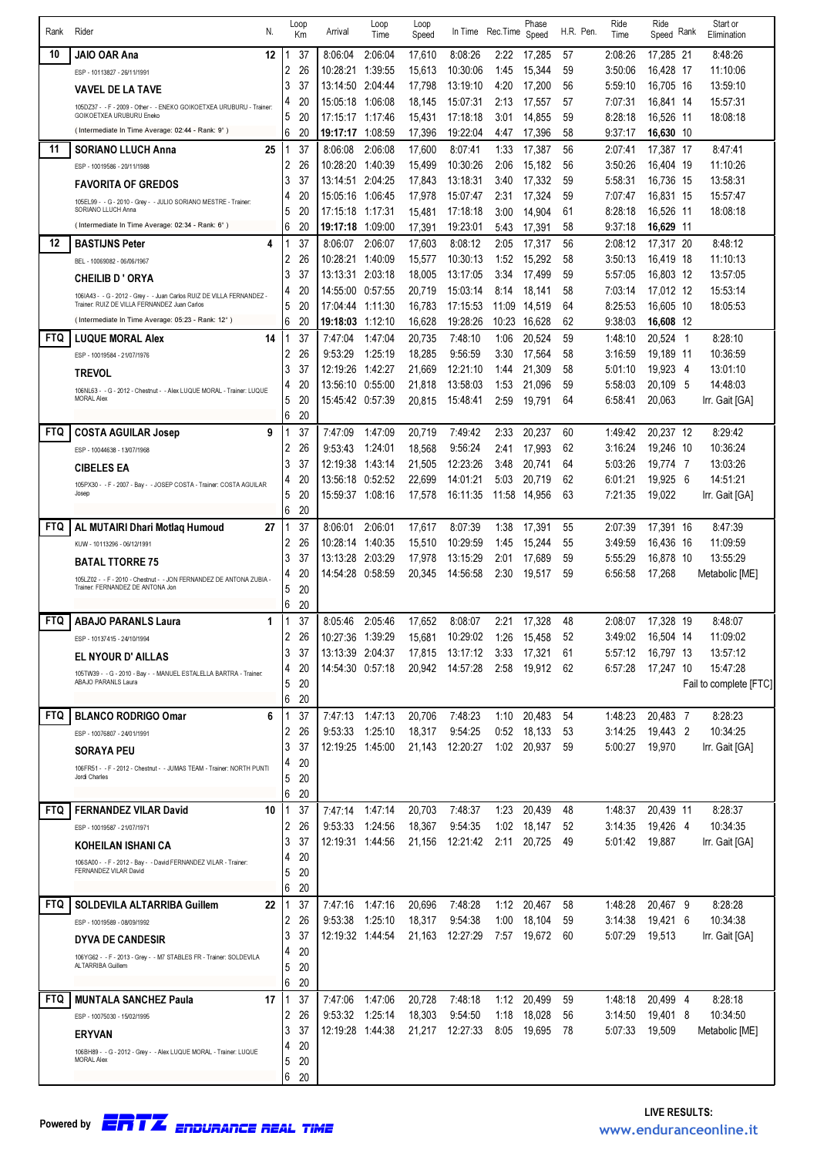|            |                                                                                                                       | Loop    |                  | Loop              | Loop   |                 |          | Phase       |           | Ride    | Ride      |      | Start or               |
|------------|-----------------------------------------------------------------------------------------------------------------------|---------|------------------|-------------------|--------|-----------------|----------|-------------|-----------|---------|-----------|------|------------------------|
| Rank       | Rider<br>N.                                                                                                           | Km      | Arrival          | Time              | Speed  | In Time         | Rec.Time | Speed       | H.R. Pen. | Time    | Speed     | Rank | Elimination            |
| 10         | 12<br>JAIO OAR Ana                                                                                                    | 37      | 8:06:04          | 2:06:04           | 17,610 | 8:08:26         | 2:22     | 17,285      | 57        | 2:08:26 | 17,285 21 |      | 8:48:26                |
|            |                                                                                                                       | 26<br>2 | 10:28:21         | 1:39:55           | 15,613 | 10:30:06        | 1:45     | 15,344      | 59        | 3:50:06 | 16,428 17 |      | 11:10:06               |
|            | ESP - 10113827 - 26/11/1991                                                                                           | 37<br>3 | 13:14:50         | 2:04:44           | 17,798 | 13:19:10        | 4:20     | 17,200      | 56        | 5:59:10 | 16,705 16 |      | 13:59:10               |
|            | <b>VAVEL DE LA TAVE</b>                                                                                               | 20<br>4 | 15:05:18         | 1:06:08           | 18,145 | 15:07:31        | 2:13     | 17,557      | 57        | 7:07:31 | 16,841 14 |      | 15:57:31               |
|            | 105DZ37 - - F - 2009 - Other - - ENEKO GOIKOETXEA URUBURU - Trainer:<br>GOIKOETXEA URUBURU Eneko                      | 20<br>5 | 17:15:17 1:17:46 |                   | 15,431 | 17:18:18        | 3:01     | 14,855      | 59        | 8:28:18 | 16,526 11 |      | 18:08:18               |
|            | (Intermediate In Time Average: 02:44 - Rank: 9°)                                                                      | 6<br>20 | 19:17:17         | 1:08:59           | 17,396 | 19:22:04        | 4:47     | 17,396      | 58        | 9:37:17 | 16,630 10 |      |                        |
| 11         | 25<br><b>SORIANO LLUCH Anna</b>                                                                                       | 37      | 8:06:08          | 2:06:08           | 17,600 | 8:07:41         | 1:33     | 17,387      | 56        | 2:07:41 | 17,387 17 |      | 8:47:41                |
|            | ESP - 10019586 - 20/11/1988                                                                                           | 26<br>2 | 10:28:20         | 1:40:39           | 15,499 | 10:30:26        | 2:06     | 15,182      | 56        | 3:50:26 | 16,404 19 |      | 11:10:26               |
|            |                                                                                                                       | 37<br>3 | 13:14:51         | 2:04:25           | 17,843 | 13:18:31        | 3:40     | 17,332      | 59        | 5:58:31 | 16,736 15 |      | 13:58:31               |
|            | <b>FAVORITA OF GREDOS</b>                                                                                             | 20<br>4 | 15:05:16         | 1:06:45           | 17,978 | 15:07:47        | 2:31     | 17,324      | 59        | 7:07:47 | 16,831 15 |      | 15:57:47               |
|            | 105EL99 - - G - 2010 - Grey - - JULIO SORIANO MESTRE - Trainer:<br>SORIANO LLUCH Anna                                 | 20<br>5 | 17:15:18         | 1:17:31           | 15,481 | 17:18:18        | 3:00     | 14,904      | 61        | 8:28:18 | 16,526 11 |      | 18:08:18               |
|            | (Intermediate In Time Average: 02:34 - Rank: 6°)                                                                      | 6<br>20 | 19:17:18         | 1:09:00           | 17,391 | 19:23:01        | 5:43     | 17,391      | 58        | 9:37:18 | 16,629 11 |      |                        |
| 12         | <b>BASTIJNS Peter</b><br>4                                                                                            | 37      | 8:06:07          | 2:06:07           | 17,603 | 8:08:12         | 2:05     | 17,317      | 56        | 2:08:12 | 17,317 20 |      | 8:48:12                |
|            | BEL - 10069082 - 06/06/1967                                                                                           | 26<br>2 | 10:28:21         | 1:40:09           | 15,577 | 10:30:13        | 1:52     | 15,292      | 58        | 3:50:13 | 16,419 18 |      | 11:10:13               |
|            |                                                                                                                       | 37<br>3 | 13:13:31         | 2:03:18           | 18,005 | 13:17:05        | 3:34     | 17,499      | 59        | 5:57:05 | 16,803 12 |      | 13:57:05               |
|            | <b>CHEILIB D'ORYA</b>                                                                                                 | 20<br>4 | 14:55:00         | 0:57:55           | 20,719 | 15:03:14        | 8:14     | 18,141      | 58        | 7:03:14 | 17,012 12 |      | 15:53:14               |
|            | 106IA43 - - G - 2012 - Grey - - Juan Carlos RUIZ DE VILLA FERNANDEZ -<br>Trainer: RUIZ DE VILLA FERNANDEZ Juan Carlos | 20<br>5 | 17:04:44         | 1:11:30           | 16,783 | 17:15:53        | 11:09    | 14,519      | 64        | 8:25:53 | 16,605 10 |      | 18:05:53               |
|            | (Intermediate In Time Average: 05:23 - Rank: 12°)                                                                     | 6<br>20 | 19:18:03         | 1:12:10           | 16,628 | 19:28:26        | 10:23    | 16,628      | 62        | 9:38:03 | 16,608 12 |      |                        |
| <b>FTQ</b> | 14<br>LUQUE MORAL Alex                                                                                                | 37      | 7:47:04          | 1:47:04           | 20,735 | 7:48:10         | 1:06     | 20,524      | 59        | 1:48:10 | 20,524 1  |      | 8:28:10                |
|            | ESP - 10019584 - 21/07/1976                                                                                           | 26<br>2 | 9:53:29          | 1:25:19           | 18,285 | 9:56:59         | 3:30     | 17,564      | 58        | 3:16:59 | 19,189 11 |      | 10:36:59               |
|            |                                                                                                                       | 37<br>3 | 12:19:26         | 1:42:27           | 21,669 | 12:21:10        | 1:44     | 21,309      | 58        | 5:01:10 | 19,923 4  |      | 13:01:10               |
|            | <b>TREVOL</b>                                                                                                         | 20<br>4 | 13:56:10         | 0:55:00           | 21,818 | 13:58:03        | 1:53     | 21,096      | 59        | 5:58:03 | 20.109    | - 5  | 14:48:03               |
|            | 106NL63 - - G - 2012 - Chestnut - - Alex LUQUE MORAL - Trainer: LUQUE<br><b>MORAL Alex</b>                            | 5<br>20 | 15:45:42 0:57:39 |                   | 20,815 | 15:48:41        | 2:59     | 19,791      | 64        | 6:58:41 | 20,063    |      | Irr. Gait [GA]         |
|            |                                                                                                                       | 6<br>20 |                  |                   |        |                 |          |             |           |         |           |      |                        |
| <b>FTQ</b> | <b>COSTA AGUILAR Josep</b><br>9                                                                                       | 37      | 7:47:09          | 1:47:09           | 20,719 | 7:49:42         | 2:33     | 20,237      | 60        | 1:49:42 | 20,237 12 |      | 8:29:42                |
|            | ESP - 10044638 - 13/07/1968                                                                                           | 2<br>26 | 9:53:43          | 1:24:01           | 18,568 | 9:56:24         | 2:41     | 17,993      | 62        | 3:16:24 | 19,246 10 |      | 10:36:24               |
|            |                                                                                                                       | 37<br>3 | 12:19:38         | 1:43:14           | 21,505 | 12:23:26        | 3:48     | 20,741      | 64        | 5:03:26 | 19,774 7  |      | 13:03:26               |
|            | <b>CIBELES EA</b>                                                                                                     | 20<br>4 | 13:56:18         | 0:52:52           | 22,699 | 14:01:21        | 5:03     | 20,719      | 62        | 6:01:21 | 19,925 6  |      | 14:51:21               |
|            | 105PX30 - - F - 2007 - Bay - - JOSEP COSTA - Trainer: COSTA AGUILAR<br>Josep                                          | 5<br>20 | 15:59:37 1:08:16 |                   | 17,578 | 16:11:35        | 11:58    | 14,956      | 63        | 7:21:35 | 19,022    |      | Irr. Gait [GA]         |
|            |                                                                                                                       | 20<br>6 |                  |                   |        |                 |          |             |           |         |           |      |                        |
| <b>FTQ</b> | 27<br>AL MUTAIRI Dhari Motlag Humoud                                                                                  | 37      | 8:06:01          | 2:06:01           | 17,617 | 8:07:39         | 1:38     | 17,391      | 55        | 2:07:39 | 17,391 16 |      | 8:47:39                |
|            | KUW - 10113296 - 06/12/1991                                                                                           | 26<br>2 | 10:28:14         | 1:40:35           | 15,510 | 10:29:59        | 1:45     | 15,244      | 55        | 3:49:59 | 16,436 16 |      | 11:09:59               |
|            | <b>BATAL TTORRE 75</b>                                                                                                | 3<br>37 | 13:13:28         | 2:03:29           | 17,978 | 13:15:29        | 2:01     | 17,689      | 59        | 5:55:29 | 16,878 10 |      | 13:55:29               |
|            |                                                                                                                       | 20<br>4 | 14:54:28         | 0:58:59           | 20,345 | 14:56:58        | 2:30     | 19,517      | 59        | 6:56:58 | 17,268    |      | Metabolic [ME]         |
|            | 105LZ02 - - F - 2010 - Chestnut - - JON FERNANDEZ DE ANTONA ZUBIA -<br>Trainer: FERNANDEZ DE ANTONA Jon               | 20<br>5 |                  |                   |        |                 |          |             |           |         |           |      |                        |
|            |                                                                                                                       | 6<br>20 |                  |                   |        |                 |          |             |           |         |           |      |                        |
| <b>FTQ</b> | <b>ABAJO PARANLS Laura</b><br>1                                                                                       | 37      | 8.05.46          | 2:05:46           | 17.652 | 8:08:07         | 2:21     | 17,328      | 48        | 2:08:07 | 17,328    | 19   | 8:48:07                |
|            | ESP - 10137415 - 24/10/1994                                                                                           | 2<br>26 | 10:27:36 1:39:29 |                   | 15,681 | 10:29:02        |          | 1:26 15,458 | 52        | 3:49:02 | 16,504 14 |      | 11:09:02               |
|            | EL NYOUR D'AILLAS                                                                                                     | 37<br>3 | 13:13:39 2:04:37 |                   | 17,815 | 13:17:12        | 3:33     | 17,321      | 61        | 5:57:12 | 16.797 13 |      | 13:57:12               |
|            | 105TW39 - - G - 2010 - Bay - - MANUEL ESTALELLA BARTRA - Trainer:                                                     | 20<br>4 | 14:54:30 0:57:18 |                   |        | 20,942 14:57:28 | 2:58     | 19,912      | 62        | 6:57:28 | 17,247 10 |      | 15:47:28               |
|            | ABAJO PARANLS Laura                                                                                                   | 20<br>5 |                  |                   |        |                 |          |             |           |         |           |      | Fail to complete [FTC] |
|            |                                                                                                                       | 6<br>20 |                  |                   |        |                 |          |             |           |         |           |      |                        |
| <b>FTQ</b> | <b>BLANCO RODRIGO Omar</b><br>6                                                                                       | 37      | 7:47:13          | 1:47:13           | 20,706 | 7:48:23         | 1:10     | 20,483      | 54        | 1:48:23 | 20,483 7  |      | 8:28:23                |
|            | ESP - 10076807 - 24/01/1991                                                                                           | 26<br>2 | 9:53:33          | 1:25:10           | 18,317 | 9:54:25         | 0:52     | 18,133      | 53        | 3:14:25 | 19,443 2  |      | 10:34:25               |
|            | SORAYA PEU                                                                                                            | 37<br>3 | 12:19:25 1:45:00 |                   | 21,143 | 12:20:27        | 1:02     | 20,937      | 59        | 5:00:27 | 19,970    |      | Irr. Gait [GA]         |
|            | 106FR51 - - F - 2012 - Chestnut - - JUMAS TEAM - Trainer: NORTH PUNTI                                                 | 20<br>4 |                  |                   |        |                 |          |             |           |         |           |      |                        |
|            | Jordi Charles                                                                                                         | 5<br>20 |                  |                   |        |                 |          |             |           |         |           |      |                        |
|            |                                                                                                                       | 6<br>20 |                  |                   |        |                 |          |             |           |         |           |      |                        |
| <b>FTQ</b> | <b>FERNANDEZ VILAR David</b><br>10                                                                                    | 37      | 7:47:14          | 1:47:14           | 20,703 | 7:48:37         | 1:23     | 20,439      | 48        | 1:48:37 | 20,439 11 |      | 8:28:37                |
|            | ESP - 10019587 - 21/07/1971                                                                                           | 26<br>2 | 9:53:33          | 1:24:56           | 18,367 | 9:54:35         | 1:02     | 18,147      | 52        | 3:14:35 | 19,426 4  |      | 10:34:35               |
|            | KOHEILAN ISHANI CA                                                                                                    | 37<br>3 | 12:19:31 1:44:56 |                   | 21,156 | 12:21:42        | 2:11     | 20,725      | 49        | 5:01:42 | 19,887    |      | Irr. Gait [GA]         |
|            | 106SA00 - - F - 2012 - Bay - - David FERNANDEZ VILAR - Trainer:                                                       | 20<br>4 |                  |                   |        |                 |          |             |           |         |           |      |                        |
|            | FERNANDEZ VILAR David                                                                                                 | 20<br>5 |                  |                   |        |                 |          |             |           |         |           |      |                        |
|            |                                                                                                                       | 6<br>20 |                  |                   |        |                 |          |             |           |         |           |      |                        |
| <b>FTQ</b> | SOLDEVILA ALTARRIBA Guillem<br>22                                                                                     | 37      | 7:47:16          | 1:47:16           | 20,696 | 7:48:28         | 1:12     | 20,467      | 58        | 1:48:28 | 20,467 9  |      | 8:28:28                |
|            | ESP - 10019589 - 08/09/1992                                                                                           | 2<br>26 | 9:53:38          | 1:25:10           | 18,317 | 9:54:38         | 1:00     | 18,104      | 59        | 3:14:38 | 19,421 6  |      | 10:34:38               |
|            | <b>DYVA DE CANDESIR</b>                                                                                               | 37<br>3 |                  | 12:19:32  1:44:54 | 21,163 | 12:27:29        | 7:57     | 19,672      | 60        | 5:07:29 | 19,513    |      | Irr. Gait [GA]         |
|            | 106YG62 - - F - 2013 - Grey - - M7 STABLES FR - Trainer: SOLDEVILA                                                    | 20<br>4 |                  |                   |        |                 |          |             |           |         |           |      |                        |
|            | ALTARRIBA Guillem                                                                                                     | 20<br>5 |                  |                   |        |                 |          |             |           |         |           |      |                        |
|            |                                                                                                                       | 6<br>20 |                  |                   |        |                 |          |             |           |         |           |      |                        |
| <b>FTQ</b> | <b>MUNTALA SANCHEZ Paula</b><br>17                                                                                    | 37      | 7:47:06          | 1:47:06           | 20,728 | 7:48:18         | 1:12     | 20,499      | 59        | 1:48:18 | 20,499 4  |      | 8:28:18                |
|            | ESP - 10075030 - 15/02/1995                                                                                           | 26<br>2 | 9:53:32          | 1:25:14           | 18,303 | 9:54:50         | 1:18     | 18,028      | 56        | 3:14:50 | 19,401 8  |      | 10:34:50               |
|            | <b>ERYVAN</b>                                                                                                         | 37<br>3 | 12:19:28 1:44:38 |                   | 21,217 | 12:27:33        |          | 8:05 19,695 | 78        | 5:07:33 | 19,509    |      | Metabolic [ME]         |
|            | 106BH89 - - G - 2012 - Grey - - Alex LUQUE MORAL - Trainer: LUQUE                                                     | 20<br>4 |                  |                   |        |                 |          |             |           |         |           |      |                        |
|            | <b>MORAL Alex</b>                                                                                                     | 20<br>5 |                  |                   |        |                 |          |             |           |         |           |      |                        |
|            |                                                                                                                       | 6<br>20 |                  |                   |        |                 |          |             |           |         |           |      |                        |

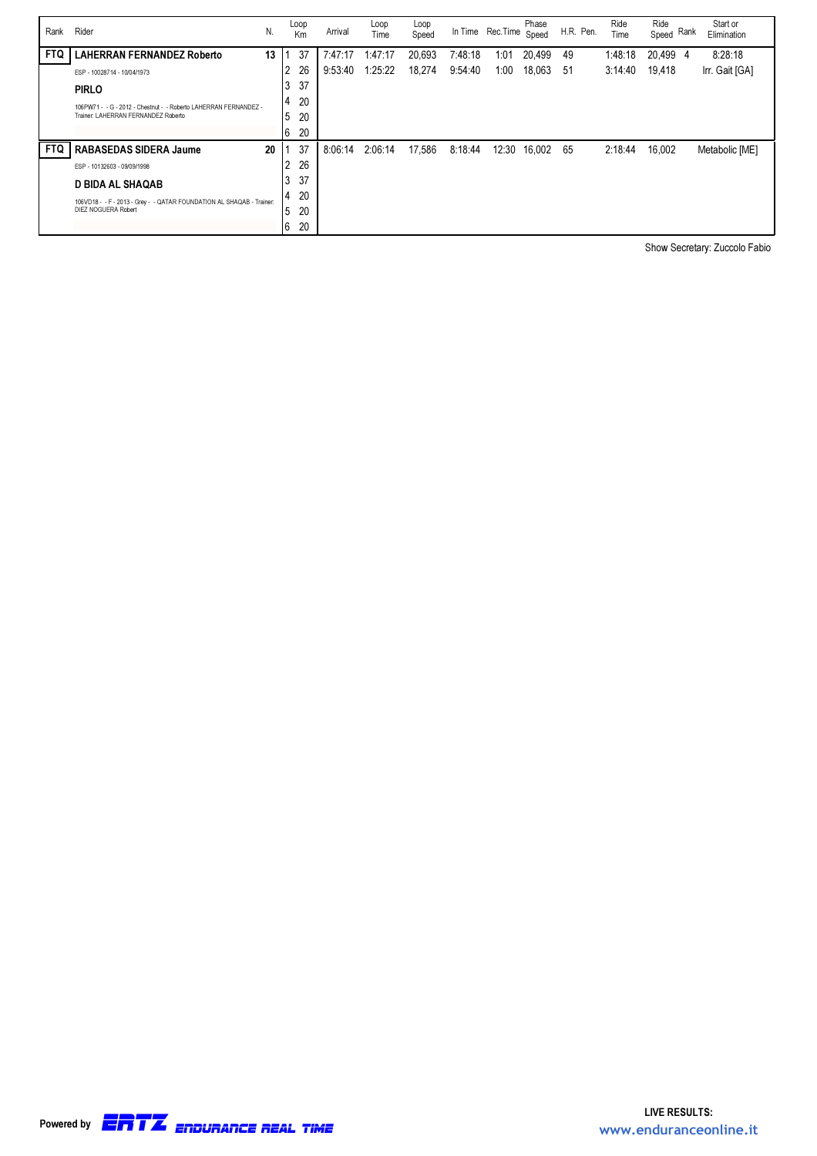| Rank       | Rider                                                                 | N. | Loop<br>Km | Arrival | Loop<br>Time | Loop<br>Speed |         | In Time Rec. Time | Phase<br>Speed | H.R. Pen. | Ride<br>Time | Ride<br>Speed Rank | Start or<br>Elimination |
|------------|-----------------------------------------------------------------------|----|------------|---------|--------------|---------------|---------|-------------------|----------------|-----------|--------------|--------------------|-------------------------|
| <b>FTQ</b> | <b>LAHERRAN FERNANDEZ Roberto</b>                                     | 13 | 37         | 7:47:17 | 1:47:17      | 20,693        | 7:48:18 | 1:01              | 20,499         | 49        | 1:48:18      | 20,499 4           | 8:28:18                 |
|            | ESP - 10028714 - 10/04/1973                                           |    | 26<br>2    | 9:53:40 | 1:25:22      | 18,274        | 9:54:40 | 1:00              | 18,063         | -51       | 3:14:40      | 19,418             | Irr. Gait [GA]          |
|            | <b>PIRLO</b>                                                          |    | 37<br>3    |         |              |               |         |                   |                |           |              |                    |                         |
|            | 106PW71 - - G - 2012 - Chestnut - - Roberto LAHERRAN FERNANDEZ -      |    | 20<br>4    |         |              |               |         |                   |                |           |              |                    |                         |
|            | Trainer: LAHERRAN FERNANDEZ Roberto                                   |    | .5<br>20   |         |              |               |         |                   |                |           |              |                    |                         |
|            |                                                                       |    | 6<br>20    |         |              |               |         |                   |                |           |              |                    |                         |
| <b>FTQ</b> | <b>RABASEDAS SIDERA Jaume</b>                                         | 20 | 37         | 8:06:14 | 2:06:14      | 17,586        | 8:18:44 | 12:30             | 16,002         | 65        | 2:18:44      | 16,002             | Metabolic [ME]          |
|            | ESP - 10132603 - 09/09/1998                                           |    | 26<br>2    |         |              |               |         |                   |                |           |              |                    |                         |
|            | <b>D BIDA AL SHAQAB</b>                                               |    | 37<br>3    |         |              |               |         |                   |                |           |              |                    |                         |
|            | 106VD18 - - F - 2013 - Grey - - QATAR FOUNDATION AL SHAQAB - Trainer: |    | 20<br>4    |         |              |               |         |                   |                |           |              |                    |                         |
|            | DIEZ NOGUERA Robert                                                   |    | 20<br>.5   |         |              |               |         |                   |                |           |              |                    |                         |
|            |                                                                       |    | 20<br>6    |         |              |               |         |                   |                |           |              |                    |                         |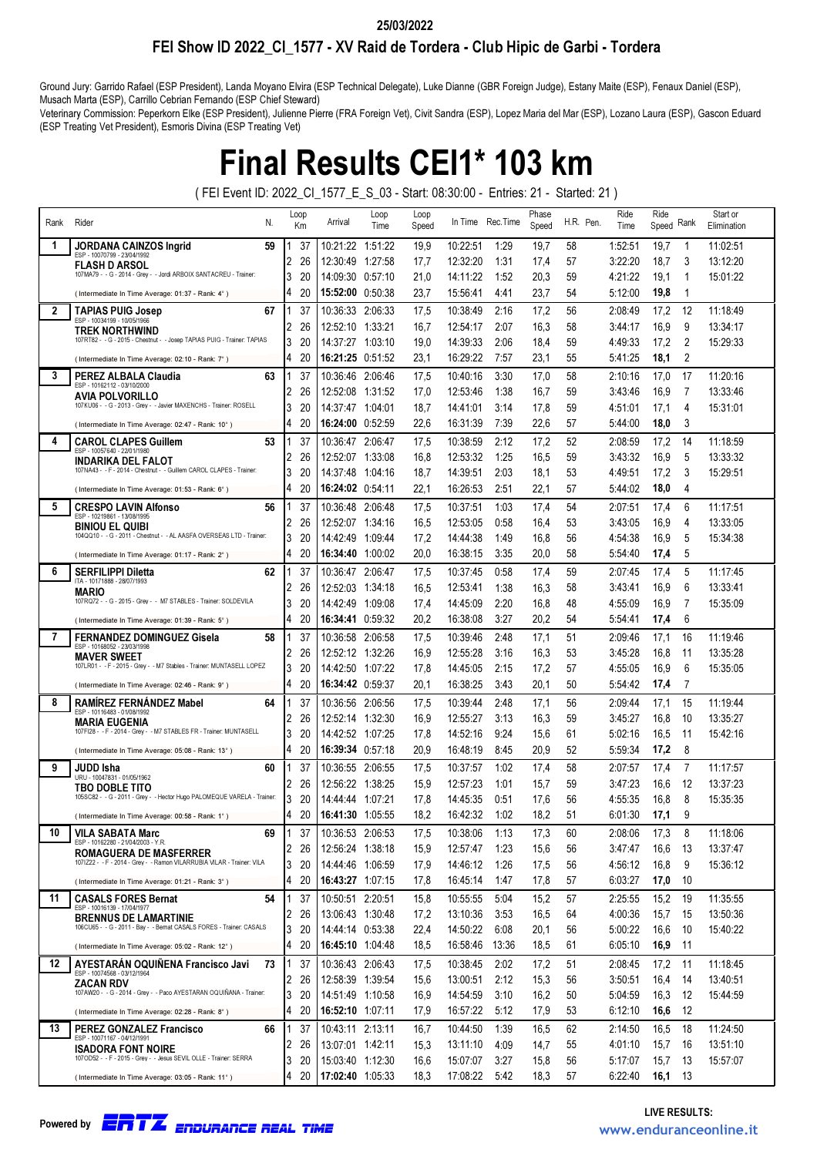### FEI Show ID 2022\_CI\_1577 - XV Raid de Tordera - Club Hipic de Garbi - Tordera 25/03/2022

Ground Jury: Garrido Rafael (ESP President), Landa Moyano Elvira (ESP Technical Delegate), Luke Dianne (GBR Foreign Judge), Estany Maite (ESP), Fenaux Daniel (ESP), Musach Marta (ESP), Carrillo Cebrian Fernando (ESP Chief Steward)

Veterinary Commission: Peperkorn Elke (ESP President), Julienne Pierre (FRA Foreign Vet), Civit Sandra (ESP), Lopez Maria del Mar (ESP), Lozano Laura (ESP), Gascon Eduard (ESP Treating Vet President), Esmoris Divina (ESP Treating Vet)

## Final Results CEI1\* 103 km

( FEI Event ID: 2022\_CI\_1577\_E\_S\_03 - Start: 08:30:00 - Entries: 21 - Started: 21 )

| Rank | Rider<br>N.                                                                                             |        | Loop<br>Кm | Arrival                              | Loop<br>Time       | Loop<br>Speed |                      | In Time Rec. Time | Phase<br>Speed | H.R. Pen. | Ride<br>Time       | Ride<br>Rank<br>Speed    | Start or<br>Elimination |  |
|------|---------------------------------------------------------------------------------------------------------|--------|------------|--------------------------------------|--------------------|---------------|----------------------|-------------------|----------------|-----------|--------------------|--------------------------|-------------------------|--|
| 1    | JORDANA CAINZOS Ingrid<br>59                                                                            |        | 37         | 10:21:22 1:51:22                     |                    | 19,9          | 10:22:51             | 1:29              | 19,7           | 58        | 1:52:51            | 19,7<br>1                | 11:02:51                |  |
|      | ESP - 10070799 - 23/04/1992<br><b>FLASH D ARSOL</b>                                                     | 2      | 26         | 12:30:49                             | 1:27:58            | 17,7          | 12:32:20             | 1:31              | 17,4           | 57        | 3:22:20            | 18,7<br>3                | 13:12:20                |  |
|      | 107MA79 - - G - 2014 - Grey - - Jordi ARBOIX SANTACREU - Trainer:                                       | 3      | 20         | 14:09:30                             | 0:57:10            | 21,0          | 14:11:22             | 1:52              | 20,3           | 59        | 4:21:22            | 19,1<br>1                | 15:01:22                |  |
|      | (Intermediate In Time Average: 01:37 - Rank: 4°)                                                        | 4      | 20         | 15:52:00                             | 0:50:38            | 23.7          | 15:56:41             | 4:41              | 23.7           | 54        | 5:12:00            | 19,8<br>1                |                         |  |
| 2    | <b>TAPIAS PUIG Josep</b><br>67<br>ESP - 10034199 - 10/05/1966                                           |        | 37         | 10:36:33                             | 2:06:33            | 17,5          | 10:38:49             | 2:16              | 17,2           | 56        | 2:08:49            | 17,2<br>12               | 11:18:49                |  |
|      | TREK NORTHWIND                                                                                          | 2      | 26         | 12:52:10                             | 1:33:21            | 16,7          | 12:54:17             | 2:07              | 16,3           | 58        | 3:44:17            | 16,9<br>9                | 13:34:17                |  |
|      | 107RT82 - - G - 2015 - Chestnut - - Josep TAPIAS PUIG - Trainer: TAPIAS                                 | 3      | 20         | 14:37:27                             | 1:03:10            | 19.0          | 14:39:33             | 2:06              | 18,4           | 59        | 4:49:33            | 17,2<br>2                | 15:29:33                |  |
|      | (Intermediate In Time Average: 02:10 - Rank: 7°)                                                        | 4      | 20         |                                      |                    | 23,1          | 16:29:22             | 7:57              | 23,1           | 55        | 5:41:25            | 2<br>18,1                |                         |  |
| 3    | PEREZ ALBALA Claudia<br>63<br>ESP - 10162112 - 03/10/2000                                               |        | 37         | 10:36:46                             | 2:06:46            | 17,5          | 10:40:16             | 3:30              | 17,0           | 58        | 2:10:16            | 17,0<br>17               | 11:20:16                |  |
|      | <b>AVIA POLVORILLO</b><br>107KU06 - - G - 2013 - Grey - - Javier MAXENCHS - Trainer: ROSELL             | 2      | 26         | 12:52:08                             | 1:31:52            | 17,0          | 12:53:46             | 1:38              | 16,7           | 59        | 3:43:46            | 16,9<br>7                | 13:33:46                |  |
|      |                                                                                                         | 3      | 20<br>20   | 14:37:47                             | 1:04:01            | 18.7          | 14:41:01             | 3:14              | 17,8           | 59        | 4:51:01            | 17,1<br>4<br>3           | 15:31:01                |  |
|      | (Intermediate In Time Average: 02:47 - Rank: 10°)                                                       | 4      |            | <b>16:24:00</b> 0:52:59              |                    | 22,6          | 16:31:39             | 7:39              | 22,6           | 57        | 5:44:00            | 18,0                     |                         |  |
| 4    | <b>CAROL CLAPES Guillem</b><br>53<br>ESP - 10057640 - 22/01/1980                                        |        | 37         | 10:36:47                             | 2:06:47            | 17,5          | 10:38:59             | 2:12              | 17,2           | 52        | 2:08:59            | 17,2<br>14<br>5          | 11:18:59                |  |
|      | INDARIKA DEL FALOT<br>107NA43 - - F - 2014 - Chestnut - - Guillem CAROL CLAPES - Trainer.               | 2<br>3 | 26<br>20   | 12:52:07<br>14:37:48                 | 1:33:08<br>1:04:16 | 16.8<br>18,7  | 12:53:32<br>14:39:51 | 1:25<br>2:03      | 16,5<br>18,1   | 59<br>53  | 3:43:32<br>4:49:51 | 16,9<br>17,2<br>3        | 13:33:32<br>15:29:51    |  |
|      | (Intermediate In Time Average: 01:53 - Rank: 6°)                                                        | 4      | 20         |                                      |                    | 22,1          | 16:26:53             | 2:51              | 22,1           | 57        | 5:44:02            | 18,0<br>4                |                         |  |
| 5    | <b>CRESPO LAVIN Alfonso</b><br>56                                                                       |        | 37         | 10:36:48                             | 2:06:48            |               | 10:37:51             | 1:03              | 17,4           | 54        | 2:07:51            | 17,4<br>6                | 11:17:51                |  |
|      | ESP - 10219861 - 13/08/1995                                                                             | 2      | 26         | 12:52:07                             | 1:34:16            | 17,5<br>16,5  | 12:53:05             | 0:58              | 16,4           | 53        | 3:43:05            | 16,9<br>4                | 13:33:05                |  |
|      | BINIOU EL QUIBI<br>104QQ10 - - G - 2011 - Chestnut - - AL AASFA OVERSEAS LTD - Trainer:                 | 3      | 20         | 14:42:49                             | 1:09:44            | 17,2          | 14:44:38             | 1:49              | 16,8           | 56        | 4:54:38            | 16,9<br>5                | 15:34:38                |  |
|      | (Intermediate In Time Average: 01:17 - Rank: 2°)                                                        | 4      | 20         | <b>16:34:40</b> 1:00:02              |                    | 20.0          | 16:38:15             | 3:35              | 20.0           | 58        | 5:54:40            | 5<br>17,4                |                         |  |
| 6    | <b>SERFILIPPI Diletta</b><br>62                                                                         |        | 37         | 10:36:47                             | 2:06:47            | 17,5          | 10:37:45             | 0:58              | 17,4           | 59        | 2:07:45            | 5<br>17,4                | 11:17:45                |  |
|      | ITA - 10171888 - 28/07/1993                                                                             | 2      | 26         | 12:52:03                             | 1:34:18            | 16,5          | 12:53:41             | 1:38              | 16,3           | 58        | 3:43:41            | 6<br>16,9                | 13:33:41                |  |
|      | MARIO<br>107RQ72 - - G - 2015 - Grey - - M7 STABLES - Trainer: SOLDEVILA                                | 3      | 20         | 14:42:49                             | 1:09:08            | 17,4          | 14:45:09             | 2:20              | 16,8           | 48        | 4:55:09            | 7<br>16,9                | 15:35:09                |  |
|      | (Intermediate In Time Average: 01:39 - Rank: 5°)                                                        | 4      | 20         |                                      |                    | 20,2          | 16:38:08             | 3:27              | 20,2           | 54        | 5:54:41            | 6<br>17,4                |                         |  |
| 7    | <b>FERNANDEZ DOMINGUEZ Gisela</b><br>58                                                                 |        | 37         | 10:36:58 2:06:58                     |                    | 17,5          | 10:39:46             | 2:48              | 17,1           | 51        | 2:09:46            | 17,1<br>16               | 11:19:46                |  |
|      | ESP - 10168052 - 23/03/1998<br><b>MAVER SWEET</b>                                                       | 2      | 26         | 12:52:12 1:32:26                     |                    | 16,9          | 12:55:28             | 3:16              | 16,3           | 53        | 3:45:28            | 16,8<br>11               | 13:35:28                |  |
|      | 107LR01 - - F - 2015 - Grey - - M7 Stables - Trainer: MUNTASELL LOPEZ                                   | 3      | 20         | 14:42:50                             | 1:07:22            | 17,8          | 14:45:05             | 2:15              | 17,2           | 57        | 4:55:05            | 6<br>16,9                | 15:35:05                |  |
|      | (Intermediate In Time Average: 02:46 - Rank: 9°)                                                        | 4      | 20         | <b>16:34:42</b> 0:59:37              |                    | 20,1          | 16:38:25             | 3:43              | 20,1           | 50        | 5:54:42            | 17,4<br>7                |                         |  |
| 8    | RAMIREZ FERNANDEZ Mabel<br>64                                                                           |        | 37         | 10:36:56                             | 2:06:56            | 17,5          | 10:39:44             | 2:48              | 17,1           | 56        | 2:09:44            | 17,1<br>15               | 11:19:44                |  |
|      | ESP - 10116483 - 01/08/1992<br><b>MARIA EUGENIA</b>                                                     | 2      | 26         | 12:52:14                             | 1:32:30            | 16,9          | 12:55:27             | 3:13              | 16,3           | 59        | 3:45:27            | 16,8<br>10               | 13:35:27                |  |
|      | 107FI28 - - F - 2014 - Grey - - M7 STABLES FR - Trainer: MUNTASELL                                      | 3      | 20         | 14:42:52 1:07:25                     |                    | 17,8          | 14:52:16             | 9:24              | 15,6           | 61        | 5:02:16            | 16,5<br>11               | 15:42:16                |  |
|      | (Intermediate In Time Average: 05:08 - Rank: 13°)                                                       | 4      | 20         | <b>16:39:34</b> 0:57:18              |                    | 20,9          | 16:48:19             | 8:45              | 20,9           | 52        | 5:59:34            | 17,2<br>8                |                         |  |
| 9    | JUDD Isha<br>60<br>URU - 10047831 - 01/05/1962                                                          |        | 37         | 10:36:55                             | 2:06:55            | 17,5          | 10:37:57             | 1:02              | 17,4           | 58        | 2:07:57            | 7<br>17,4                | 11:17:57                |  |
|      | <b>TBO DOBLE TITO</b>                                                                                   | 2      | 26         | 12:56:22                             | 1:38:25            | 15,9          | 12:57:23             | 1:01              | 15,7           | 59        | 3:47:23            | 16,6<br>12               | 13:37:23                |  |
|      | 105SC82 - - G - 2011 - Grey - - Hector Hugo PALOMEQUE VARELA - Trainer:                                 | 3      | 20         | 14:44:44                             | 1:07:21            | 17,8          | 14:45:35             | 0:51              | 17,6           | 56        | 4:55:35            | 8<br>16,8                | 15:35:35                |  |
|      | (Intermediate In Time Average: 00:58 - Rank: 1°)                                                        | 4      | 20         | 16:41:30 1:05:55                     |                    | 18,2          | 16:42:32             | 1:02              | 18,2           | 51        | 6:01:30            | 9<br>17,1                |                         |  |
| 10   | VILA SABATA Marc<br>69<br>ESP - 10162280 - 21/04/2003 - Y.R.                                            |        | 37         | 10:36:53 2:06:53                     |                    | 17,5          | 10:38:06             | 1:13              | 17,3           | 60        | 2:08:06            | 17,3<br>8                | 11:18:06                |  |
|      | <b>ROMAGUERA DE MASFERRER</b><br>1071Z22 - - F - 2014 - Grey - - Ramon VILARRUBIA VILAR - Trainer: VILA | 2      | 26         | 12:56:24 1:38:18                     |                    | 15,9          | 12:57:47             | 1:23              | 15,6           | 56        | 3:47:47            | 16,6<br>13               | 13:37:47                |  |
|      |                                                                                                         | 3      | 20         | 14:44:46 1:06:59                     |                    | 17,9          | 14:46:12             | 1:26              | 17,5           | 56        | 4:56:12            | 16,8<br>9                | 15:36:12                |  |
|      | (Intermediate In Time Average: 01:21 - Rank: 3°)                                                        | 4      | 20         | 16:43:27 1:07:15                     |                    | 17,8          | 16:45:14             | 1:47              | 17,8           | 57        | 6:03:27            | 17,0<br>10               |                         |  |
| 11   | <b>CASALS FORES Bernat</b><br>54<br>ESP - 10016139 - 17/04/1977                                         |        | 37         | 10:50:51 2:20:51<br>13:06:43 1:30:48 |                    | 15,8          | 10:55:55             | 5:04              | 15,2           | 57        | 2:25:55            | 15,2<br>19               | 11:35:55                |  |
|      | <b>BRENNUS DE LAMARTINIE</b><br>106CU65 - - G - 2011 - Bay - - Bernat CASALS FORES - Trainer: CASALS    | 2<br>3 | 26<br>20   | 14:44:14 0:53:38                     |                    | 17,2<br>22,4  | 13:10:36<br>14:50:22 | 3:53<br>6:08      | 16,5<br>20,1   | 64<br>56  | 4:00:36<br>5:00:22 | 15,7<br>15<br>16,6<br>10 | 13:50:36<br>15:40:22    |  |
|      | (Intermediate In Time Average: 05:02 - Rank: 12°)                                                       | 4      | 20         | 16:45:10 1:04:48                     |                    | 18,5          | 16:58:46             | 13:36             | 18,5           | 61        | 6:05:10            | 16,9<br>11               |                         |  |
| 12   | AYESTARAN OQUIÑENA Francisco Javi<br>73                                                                 |        | 37         | 10:36:43 2:06:43                     |                    | 17,5          | 10:38:45             | 2:02              | 17,2           | 51        | 2:08:45            | 17,2<br>11               | 11:18:45                |  |
|      | ESP - 10074568 - 03/12/1964                                                                             | 2      | 26         | 12:58:39 1:39:54                     |                    | 15,6          | 13:00:51             | 2:12              | 15,3           | 56        | 3:50:51            | 16,4<br>14               | 13:40:51                |  |
|      | ZACAN RDV<br>107AW20 - - G - 2014 - Grey - - Paco AYESTARAN OQUIÑANA - Trainer:                         | 3      | 20         | 14:51:49 1:10:58                     |                    | 16,9          | 14:54:59             | 3:10              | 16,2           | 50        | 5:04:59            | 16,3<br>12               | 15:44:59                |  |
|      | (Intermediate In Time Average: 02:28 - Rank: 8°)                                                        | 4      | 20         | 16:52:10 1:07:11                     |                    | 17,9          | 16:57:22             | 5:12              | 17,9           | 53        | 6:12:10            | 16,6<br>12               |                         |  |
| 13   | <b>PEREZ GONZALEZ Francisco</b><br>66                                                                   |        | 37         | 10:43:11 2:13:11                     |                    | 16,7          | 10:44:50             | 1:39              | 16,5           | 62        | 2:14:50            | 16,5<br>18               | 11:24:50                |  |
|      | ESP - 10071167 - 04/12/1991                                                                             | 2      | 26         | 13:07:01 1:42:11                     |                    | 15,3          | 13:11:10             | 4:09              | 14,7           | 55        | 4:01:10            | 15,7<br>16               | 13:51:10                |  |
|      | <b>ISADORA FONT NOIRE</b><br>107OD52 - - F - 2015 - Grey - - Jesus SEVIL OLLE - Trainer: SERRA          | 3      | 20         | 15:03:40 1:12:30                     |                    | 16,6          | 15:07:07             | 3:27              | 15,8           | 56        | 5:17:07            | 15,7<br>13               | 15:57:07                |  |
|      | (Intermediate In Time Average: 03:05 - Rank: 11°)                                                       | 4      | 20         | 17:02:40 1:05:33                     |                    | 18,3          | 17:08:22             | 5:42              | 18,3           | 57        | 6:22:40            | 16,1<br>13               |                         |  |

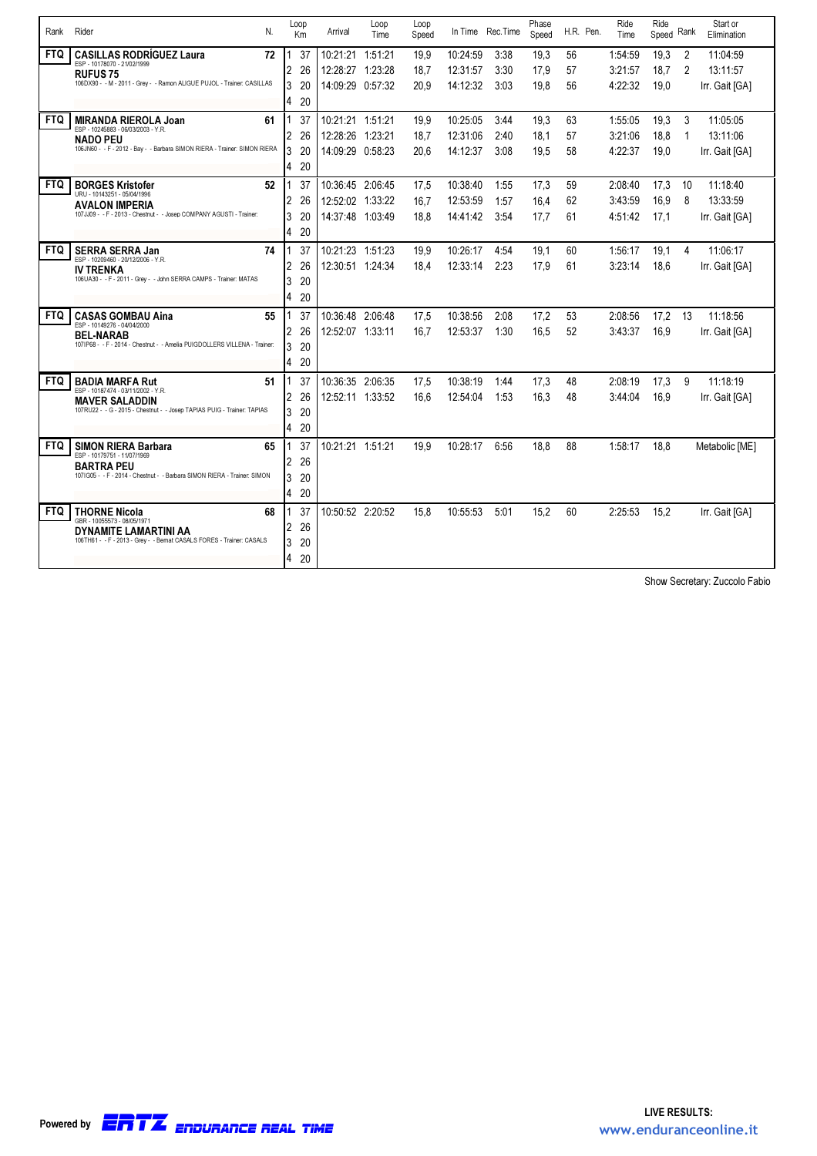| Rank       | Rider<br>N.                                                                                                                                                             | Loop<br>Km                          | Arrival                                                  | Loop<br>Time | Loop<br>Speed        |                                  | In Time Rec.Time     | Phase<br>Speed       | H.R. Pen.      | Ride<br>Time                  | Ride<br>Speed        | Rank             | Start or<br>Elimination                |
|------------|-------------------------------------------------------------------------------------------------------------------------------------------------------------------------|-------------------------------------|----------------------------------------------------------|--------------|----------------------|----------------------------------|----------------------|----------------------|----------------|-------------------------------|----------------------|------------------|----------------------------------------|
| <b>FTQ</b> | <b>CASILLAS RODRÍGUEZ Laura</b><br>72<br>ESP - 10178070 - 21/02/1999<br><b>RUFUS 75</b><br>106DX90 - - M - 2011 - Grey - - Ramon ALIGUE PUJOL - Trainer: CASILLAS       | 37<br>2<br>26<br>3<br>20<br>20<br>4 | 10:21:21 1:51:21<br>12:28:27 1:23:28<br>14:09:29 0:57:32 |              | 19.9<br>18.7<br>20.9 | 10:24:59<br>12:31:57<br>14:12:32 | 3:38<br>3:30<br>3:03 | 19.3<br>17.9<br>19,8 | 56<br>57<br>56 | 1:54:59<br>3:21:57<br>4:22:32 | 19.3<br>18.7<br>19.0 | 2<br>2           | 11:04:59<br>13:11:57<br>Irr. Gait [GA] |
| <b>FTQ</b> | <b>MIRANDA RIEROLA Joan</b><br>61<br>ESP - 10245883 - 06/03/2003 - Y.R.<br><b>NADO PEU</b><br>106JN60 - - F - 2012 - Bay - - Barbara SIMON RIERA - Trainer: SIMON RIERA | 37<br>2<br>26<br>3<br>20<br>20<br>4 | 10:21:21 1:51:21<br>12:28:26 1:23:21<br>14:09:29 0:58:23 |              | 19.9<br>18.7<br>20,6 | 10:25:05<br>12:31:06<br>14:12:37 | 3:44<br>2:40<br>3:08 | 19,3<br>18,1<br>19,5 | 63<br>57<br>58 | 1:55:05<br>3:21:06<br>4:22:37 | 19.3<br>18.8<br>19,0 | 3<br>$\mathbf 1$ | 11:05:05<br>13:11:06<br>Irr. Gait [GA] |
| <b>FTQ</b> | <b>BORGES Kristofer</b><br>52<br>URU - 10143251 - 05/04/1996<br><b>AVALON IMPERIA</b><br>107JJ09 - - F - 2013 - Chestnut - - Josep COMPANY AGUSTI - Trainer:            | 37<br>2<br>26<br>3<br>20<br>20<br>4 | 10:36:45 2:06:45<br>12:52:02 1:33:22<br>14:37:48 1:03:49 |              | 17.5<br>16.7<br>18,8 | 10:38:40<br>12:53:59<br>14:41:42 | 1:55<br>1:57<br>3:54 | 17,3<br>16,4<br>17,7 | 59<br>62<br>61 | 2:08:40<br>3:43:59<br>4:51:42 | 17,3<br>16.9<br>17,1 | 10<br>8          | 11:18:40<br>13:33:59<br>Irr. Gait [GA] |
| <b>FTQ</b> | <b>SERRA SERRA Jan</b><br>74<br>ESP - 10209460 - 20/12/2006 - Y.R.<br><b>IV TRENKA</b><br>106UA30 - - F - 2011 - Grey - - John SERRA CAMPS - Trainer: MATAS             | 37<br>2<br>26<br>3<br>20<br>4<br>20 | 10:21:23 1:51:23<br>12:30:51 1:24:34                     |              | 19,9<br>18,4         | 10:26:17<br>12:33:14             | 4:54<br>2:23         | 19,1<br>17,9         | 60<br>61       | 1:56:17<br>3:23:14            | 19,1<br>18.6         | 4                | 11:06:17<br>Irr. Gait [GA]             |
| <b>FTQ</b> | <b>CASAS GOMBAU Aina</b><br>55<br>ESP - 10149276 - 04/04/2000<br><b>BEL-NARAB</b><br>107IP68 - - F - 2014 - Chestnut - - Amelia PUIGDOLLERS VILLENA - Trainer:          | 37<br>2<br>26<br>3<br>20<br>4<br>20 | 10:36:48 2:06:48<br>12:52:07 1:33:11                     |              | 17.5<br>16.7         | 10:38:56<br>12:53:37             | 2:08<br>1:30         | 17.2<br>16.5         | 53<br>52       | 2:08:56<br>3:43:37            | 17.2<br>16.9         | 13               | 11:18:56<br>Irr. Gait [GA]             |
| <b>FTQ</b> | <b>BADIA MARFA Rut</b><br>51<br>ESP - 10187474 - 03/11/2002 - Y.R.<br><b>MAVER SALADDIN</b><br>107RU22 - - G - 2015 - Chestnut - - Josep TAPIAS PUIG - Trainer: TAPIAS  | 37<br>2<br>26<br>20<br>3<br>4<br>20 | 10:36:35 2:06:35<br>12:52:11 1:33:52                     |              | 17.5<br>16.6         | 10:38:19<br>12:54:04             | 1:44<br>1:53         | 17,3<br>16.3         | 48<br>48       | 2:08:19<br>3:44:04            | 17.3<br>16.9         | 9                | 11:18:19<br>Irr. Gait [GA]             |
| <b>FTQ</b> | <b>SIMON RIERA Barbara</b><br>65<br>ESP - 10179751 - 11/07/1969<br><b>BARTRA PEU</b><br>107IG05 - - F - 2014 - Chestnut - - Barbara SIMON RIERA - Trainer: SIMON        | 37<br>2<br>26<br>3<br>20<br>4<br>20 | 10:21:21 1:51:21                                         |              | 19.9                 | 10:28:17                         | 6:56                 | 18.8                 | 88             | 1:58:17                       | 18.8                 |                  | Metabolic [ME]                         |
| <b>FTQ</b> | <b>THORNE Nicola</b><br>68<br>GBR - 10055573 - 08/05/197<br>DYNAMITE LAMARTINI AA<br>106TH61 - - F - 2013 - Grey - - Bernat CASALS FORES - Trainer: CASALS              | 37<br>26<br>2<br>3<br>20<br>4<br>20 | 10:50:52 2:20:52                                         |              | 15.8                 | 10:55:53                         | 5:01                 | 15.2                 | 60             | 2:25:53                       | 15.2                 |                  | Irr. Gait [GA]                         |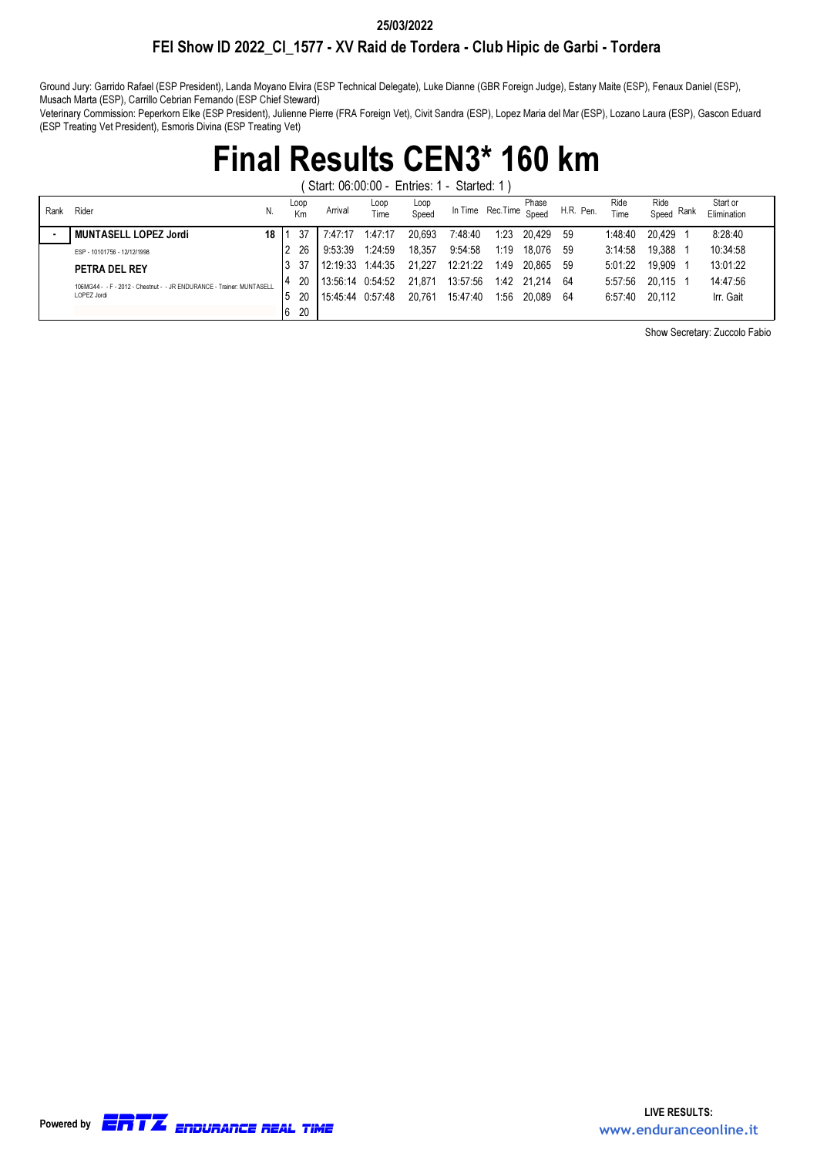#### 25/03/2022

### FEI Show ID 2022\_CI\_1577 - XV Raid de Tordera - Club Hipic de Garbi - Tordera

Ground Jury: Garrido Rafael (ESP President), Landa Moyano Elvira (ESP Technical Delegate), Luke Dianne (GBR Foreign Judge), Estany Maite (ESP), Fenaux Daniel (ESP), Musach Marta (ESP), Carrillo Cebrian Fernando (ESP Chief Steward)

Veterinary Commission: Peperkorn Elke (ESP President), Julienne Pierre (FRA Foreign Vet), Civit Sandra (ESP), Lopez Maria del Mar (ESP), Lozano Laura (ESP), Gascon Eduard (ESP Treating Vet President), Esmoris Divina (ESP Treating Vet)

## Final Results CEN3\* 160 km

( Start: 06:00:00 - Entries: 1 - Started: 1 )

| Rank | Rider<br>N.                                                            |    | Loop<br>Km | Arrival            | Loop<br>Time | Loop<br>Speed | In Time Rec. Time Speed |      | Phase       | H.R. Pen. | Ride<br>Time | Ride<br>Rank<br>Speed | Start or<br>Elimination |
|------|------------------------------------------------------------------------|----|------------|--------------------|--------------|---------------|-------------------------|------|-------------|-----------|--------------|-----------------------|-------------------------|
|      | MUNTASELL LOPEZ Jordi<br>18                                            |    | 37         | 7:47:17            | 1:47:17      | 20.693        | 7:48:40                 | 1:23 | 20.429      | -59       | 1:48:40      | 20.429                | 8:28:40                 |
|      | ESP - 10101756 - 12/12/1998                                            |    | 26         | 9:53:39            | 1:24:59      | 18.357        | 9:54:58                 | 1:19 | 18.076      | -59       | 3:14:58      | 19.388                | 10:34:58                |
|      | <b>PETRA DEL REY</b>                                                   |    | 37         | 12:19:33 1:44:35   |              | 21.227        | 12:21:22                | 1:49 | 20.865      | -59       | 5:01:22      | 19.909                | 13:01:22                |
|      | 106MG44 - - F - 2012 - Chestnut - - JR FNDURANCF - Trainer: MUNTASFI I |    | 20         | $13:56:14$ 0:54:52 |              | 21.871        | 13:57:56                |      | 1:42 21.214 | -64       | 5:57:56      | 20.115                | 14:47:56                |
|      | LOPEZ Jordi                                                            |    | 20         | 15:45:44           | 0:57:48      | 20.761        | 15:47:40                | 1:56 | 20.089      | -64       | 6:57:40      | 20.112                | Irr. Gait               |
|      |                                                                        | 16 | 20         |                    |              |               |                         |      |             |           |              |                       |                         |